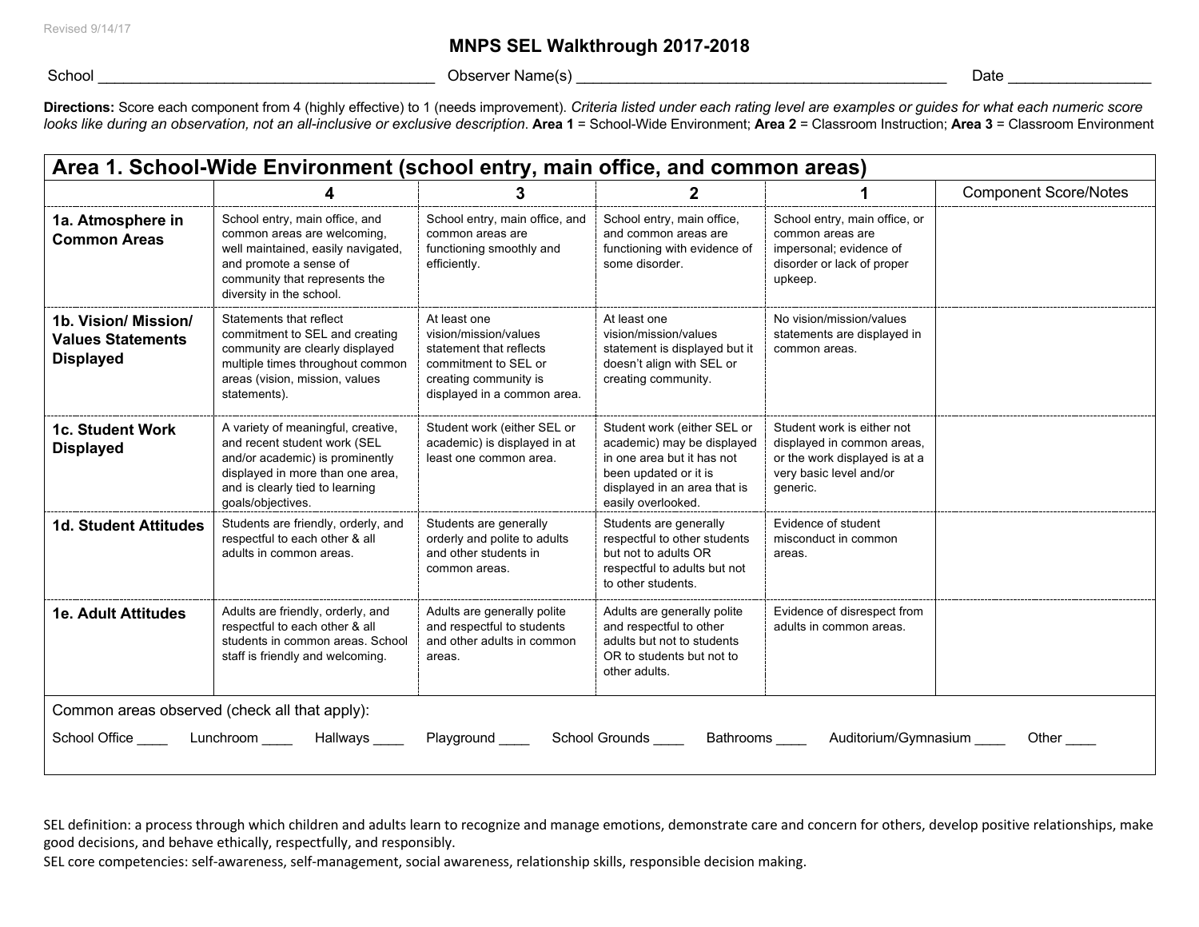## **MNPS SEL Walkthrough 2017-2018**

School \_\_\_\_\_\_\_\_\_\_\_\_\_\_\_\_\_\_\_\_\_\_\_\_\_\_\_\_\_\_\_\_\_\_\_\_\_\_\_\_ Observer Name(s) \_\_\_\_\_\_\_\_\_\_\_\_\_\_\_\_\_\_\_\_\_\_\_\_\_\_\_\_\_\_\_\_\_\_\_\_\_\_\_\_\_\_\_\_ Date \_\_\_\_\_\_\_\_\_\_\_\_\_\_\_\_\_

Directions: Score each component from 4 (highly effective) to 1 (needs improvement). Criteria listed under each rating level are examples or guides for what each numeric score *looks like during an observation, not an all-inclusive or exclusive description*. **Area 1** = School-Wide Environment; **Area 2** = Classroom Instruction; **Area 3** = Classroom Environment

| Area 1. School-Wide Environment (school entry, main office, and common areas) |                                                                                                                                                                                                   |                                                                                                                                                  |                                                                                                                                                                        |                                                                                                                                  |                              |  |  |  |  |
|-------------------------------------------------------------------------------|---------------------------------------------------------------------------------------------------------------------------------------------------------------------------------------------------|--------------------------------------------------------------------------------------------------------------------------------------------------|------------------------------------------------------------------------------------------------------------------------------------------------------------------------|----------------------------------------------------------------------------------------------------------------------------------|------------------------------|--|--|--|--|
|                                                                               |                                                                                                                                                                                                   | 3                                                                                                                                                |                                                                                                                                                                        |                                                                                                                                  | <b>Component Score/Notes</b> |  |  |  |  |
| 1a. Atmosphere in<br><b>Common Areas</b>                                      | School entry, main office, and<br>common areas are welcoming,<br>well maintained, easily navigated,<br>and promote a sense of<br>community that represents the<br>diversity in the school.        | School entry, main office, and<br>common areas are<br>functioning smoothly and<br>efficiently.                                                   | School entry, main office,<br>and common areas are<br>functioning with evidence of<br>some disorder.                                                                   | School entry, main office, or<br>common areas are<br>impersonal; evidence of<br>disorder or lack of proper<br>upkeep.            |                              |  |  |  |  |
| 1b. Vision/ Mission/<br><b>Values Statements</b><br><b>Displayed</b>          | Statements that reflect<br>commitment to SEL and creating<br>community are clearly displayed<br>multiple times throughout common<br>areas (vision, mission, values<br>statements).                | At least one<br>vision/mission/values<br>statement that reflects<br>commitment to SEL or<br>creating community is<br>displayed in a common area. | At least one<br>vision/mission/values<br>statement is displayed but it<br>doesn't align with SEL or<br>creating community.                                             | No vision/mission/values<br>statements are displayed in<br>common areas.                                                         |                              |  |  |  |  |
| 1c. Student Work<br><b>Displayed</b>                                          | A variety of meaningful, creative,<br>and recent student work (SEL<br>and/or academic) is prominently<br>displayed in more than one area.<br>and is clearly tied to learning<br>goals/objectives. | Student work (either SEL or<br>academic) is displayed in at<br>least one common area.                                                            | Student work (either SEL or<br>academic) may be displayed<br>in one area but it has not<br>been updated or it is<br>displayed in an area that is<br>easily overlooked. | Student work is either not<br>displayed in common areas.<br>or the work displayed is at a<br>very basic level and/or<br>generic. |                              |  |  |  |  |
| <b>1d. Student Attitudes</b>                                                  | Students are friendly, orderly, and<br>respectful to each other & all<br>adults in common areas.                                                                                                  | Students are generally<br>orderly and polite to adults<br>and other students in<br>common areas.                                                 | Students are generally<br>respectful to other students<br>but not to adults OR<br>respectful to adults but not<br>to other students.                                   | Evidence of student<br>misconduct in common<br>areas.                                                                            |                              |  |  |  |  |
| <b>1e. Adult Attitudes</b>                                                    | Adults are friendly, orderly, and<br>respectful to each other & all<br>students in common areas. School<br>staff is friendly and welcoming.                                                       | Adults are generally polite<br>and respectful to students<br>and other adults in common<br>areas.                                                | Adults are generally polite<br>and respectful to other<br>adults but not to students<br>OR to students but not to<br>other adults.                                     | Evidence of disrespect from<br>adults in common areas.                                                                           |                              |  |  |  |  |
| Common areas observed (check all that apply):<br>School Office                | Lunchroom<br>Hallways                                                                                                                                                                             | Playground                                                                                                                                       | School Grounds<br>Bathrooms                                                                                                                                            | Auditorium/Gymnasium                                                                                                             | Other                        |  |  |  |  |

SEL definition: a process through which children and adults learn to recognize and manage emotions, demonstrate care and concern for others, develop positive relationships, make good decisions, and behave ethically, respectfully, and responsibly.

SEL core competencies: self-awareness, self-management, social awareness, relationship skills, responsible decision making.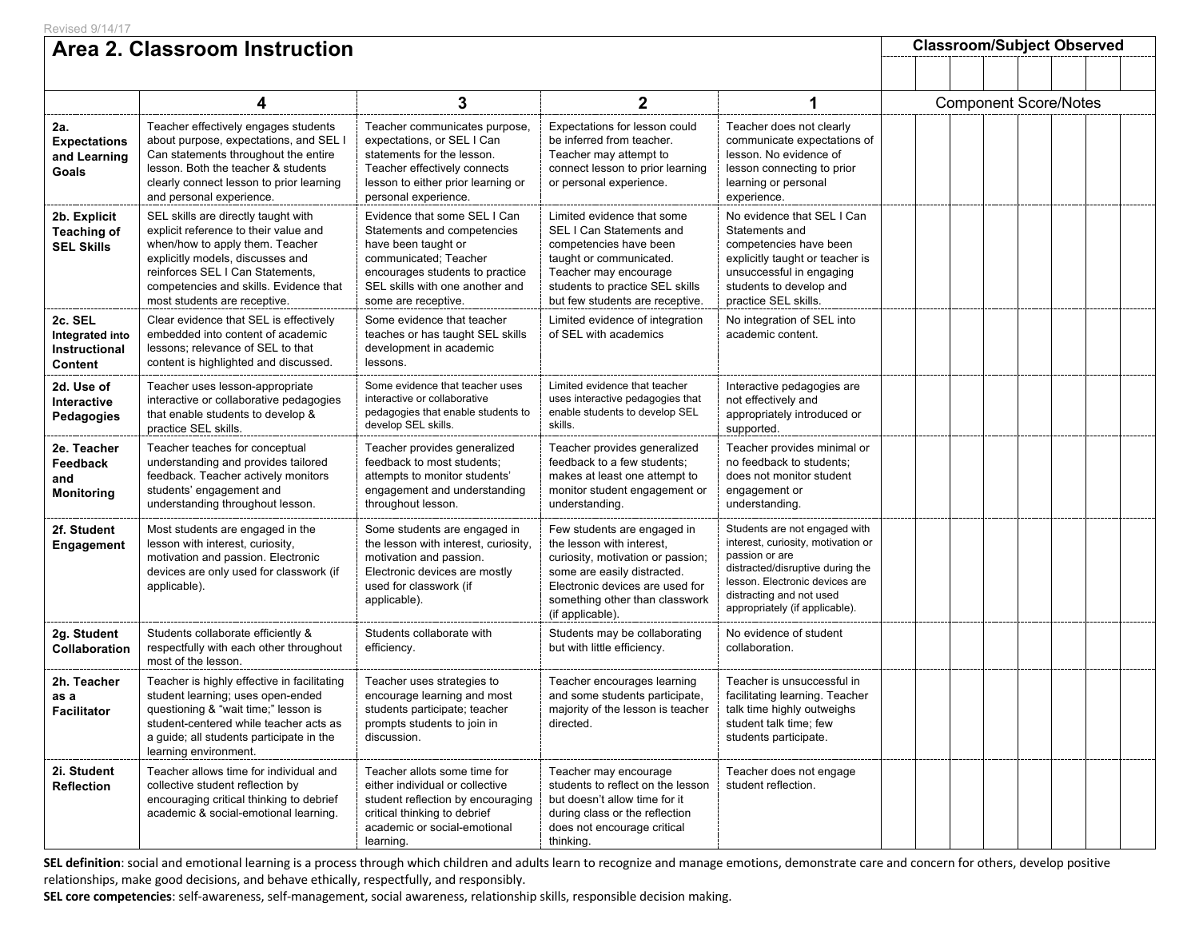| Area 2. Classroom Instruction                           |                                                                                                                                                                                                                                                                   |                                                                                                                                                                                                          |                                                                                                                                                                                                                       |                                                                                                                                                                                                                           |  | <b>Classroom/Subject Observed</b> |  |  |  |  |  |  |  |
|---------------------------------------------------------|-------------------------------------------------------------------------------------------------------------------------------------------------------------------------------------------------------------------------------------------------------------------|----------------------------------------------------------------------------------------------------------------------------------------------------------------------------------------------------------|-----------------------------------------------------------------------------------------------------------------------------------------------------------------------------------------------------------------------|---------------------------------------------------------------------------------------------------------------------------------------------------------------------------------------------------------------------------|--|-----------------------------------|--|--|--|--|--|--|--|
|                                                         |                                                                                                                                                                                                                                                                   |                                                                                                                                                                                                          |                                                                                                                                                                                                                       |                                                                                                                                                                                                                           |  |                                   |  |  |  |  |  |  |  |
|                                                         | 3<br>$\mathbf{2}$<br>4                                                                                                                                                                                                                                            |                                                                                                                                                                                                          |                                                                                                                                                                                                                       |                                                                                                                                                                                                                           |  | <b>Component Score/Notes</b>      |  |  |  |  |  |  |  |
| 2a.<br><b>Expectations</b><br>and Learning<br>Goals     | Teacher effectively engages students<br>about purpose, expectations, and SEL I<br>Can statements throughout the entire<br>lesson. Both the teacher & students<br>clearly connect lesson to prior learning<br>and personal experience.                             | Teacher communicates purpose,<br>expectations, or SEL I Can<br>statements for the lesson.<br>Teacher effectively connects<br>lesson to either prior learning or<br>personal experience.                  | Expectations for lesson could<br>be inferred from teacher.<br>Teacher may attempt to<br>connect lesson to prior learning<br>or personal experience.                                                                   | Teacher does not clearly<br>communicate expectations of<br>lesson. No evidence of<br>lesson connecting to prior<br>learning or personal<br>experience.                                                                    |  |                                   |  |  |  |  |  |  |  |
| 2b. Explicit<br><b>Teaching of</b><br><b>SEL Skills</b> | SEL skills are directly taught with<br>explicit reference to their value and<br>when/how to apply them. Teacher<br>explicitly models, discusses and<br>reinforces SEL I Can Statements,<br>competencies and skills. Evidence that<br>most students are receptive. | Evidence that some SEL I Can<br>Statements and competencies<br>have been taught or<br>communicated; Teacher<br>encourages students to practice<br>SEL skills with one another and<br>some are receptive. | Limited evidence that some<br>SEL I Can Statements and<br>competencies have been<br>taught or communicated.<br>Teacher may encourage<br>students to practice SEL skills<br>but few students are receptive.            | No evidence that SEL I Can<br>Statements and<br>competencies have been<br>explicitly taught or teacher is<br>unsuccessful in engaging<br>students to develop and<br>practice SEL skills.                                  |  |                                   |  |  |  |  |  |  |  |
| 2c. SEL<br>Integrated into<br>Instructional<br>Content  | Clear evidence that SEL is effectively<br>embedded into content of academic<br>lessons: relevance of SEL to that<br>content is highlighted and discussed.                                                                                                         | Some evidence that teacher<br>teaches or has taught SEL skills<br>development in academic<br>lessons.                                                                                                    | Limited evidence of integration<br>of SEL with academics                                                                                                                                                              | No integration of SEL into<br>academic content.                                                                                                                                                                           |  |                                   |  |  |  |  |  |  |  |
| 2d. Use of<br><b>Interactive</b><br>Pedagogies          | Teacher uses lesson-appropriate<br>interactive or collaborative pedagogies<br>that enable students to develop &<br>practice SEL skills.                                                                                                                           | Some evidence that teacher uses<br>interactive or collaborative<br>pedagogies that enable students to<br>develop SEL skills.                                                                             | Limited evidence that teacher<br>uses interactive pedagogies that<br>enable students to develop SEL<br>skills.                                                                                                        | Interactive pedagogies are<br>not effectively and<br>appropriately introduced or<br>supported.                                                                                                                            |  |                                   |  |  |  |  |  |  |  |
| 2e. Teacher<br>Feedback<br>and<br><b>Monitoring</b>     | Teacher teaches for conceptual<br>understanding and provides tailored<br>feedback. Teacher actively monitors<br>students' engagement and<br>understanding throughout lesson.                                                                                      | Teacher provides generalized<br>feedback to most students;<br>attempts to monitor students'<br>engagement and understanding<br>throughout lesson.                                                        | Teacher provides generalized<br>feedback to a few students;<br>makes at least one attempt to<br>monitor student engagement or<br>understanding.                                                                       | Teacher provides minimal or<br>no feedback to students:<br>does not monitor student<br>engagement or<br>understanding.                                                                                                    |  |                                   |  |  |  |  |  |  |  |
| 2f. Student<br><b>Engagement</b>                        | Most students are engaged in the<br>lesson with interest, curiosity,<br>motivation and passion. Electronic<br>devices are only used for classwork (if<br>applicable).                                                                                             | Some students are engaged in<br>the lesson with interest, curiosity,<br>motivation and passion.<br>Electronic devices are mostly<br>used for classwork (if<br>applicable).                               | Few students are engaged in<br>the lesson with interest,<br>curiosity, motivation or passion;<br>some are easily distracted.<br>Electronic devices are used for<br>something other than classwork<br>(if applicable). | Students are not engaged with<br>interest, curiosity, motivation or<br>passion or are<br>distracted/disruptive during the<br>lesson. Electronic devices are<br>distracting and not used<br>appropriately (if applicable). |  |                                   |  |  |  |  |  |  |  |
| 2g. Student<br><b>Collaboration</b>                     | Students collaborate efficiently &<br>respectfully with each other throughout<br>most of the lesson.                                                                                                                                                              | Students collaborate with<br>efficiency.                                                                                                                                                                 | Students may be collaborating<br>but with little efficiency.                                                                                                                                                          | No evidence of student<br>collaboration.                                                                                                                                                                                  |  |                                   |  |  |  |  |  |  |  |
| 2h. Teacher<br>as a<br><b>Facilitator</b>               | Teacher is highly effective in facilitating<br>student learning; uses open-ended<br>questioning & "wait time;" lesson is<br>student-centered while teacher acts as<br>a guide; all students participate in the<br>learning environment.                           | Teacher uses strategies to<br>encourage learning and most<br>students participate; teacher<br>prompts students to join in<br>discussion.                                                                 | Teacher encourages learning<br>and some students participate,<br>majority of the lesson is teacher<br>directed.                                                                                                       | Teacher is unsuccessful in<br>facilitating learning. Teacher<br>talk time highly outweighs<br>student talk time; few<br>students participate.                                                                             |  |                                   |  |  |  |  |  |  |  |
| 2i. Student<br><b>Reflection</b>                        | Teacher allows time for individual and<br>collective student reflection by<br>encouraging critical thinking to debrief<br>academic & social-emotional learning.                                                                                                   | Teacher allots some time for<br>either individual or collective<br>student reflection by encouraging<br>critical thinking to debrief<br>academic or social-emotional<br>learning.                        | Teacher may encourage<br>students to reflect on the lesson<br>but doesn't allow time for it<br>during class or the reflection<br>does not encourage critical<br>thinking.                                             | Teacher does not engage<br>student reflection.                                                                                                                                                                            |  |                                   |  |  |  |  |  |  |  |

SEL definition: social and emotional learning is a process through which children and adults learn to recognize and manage emotions, demonstrate care and concern for others, develop positive relationships, make good decisions, and behave ethically, respectfully, and responsibly.

**SEL core competencies**: self-awareness, self-management, social awareness, relationship skills, responsible decision making.